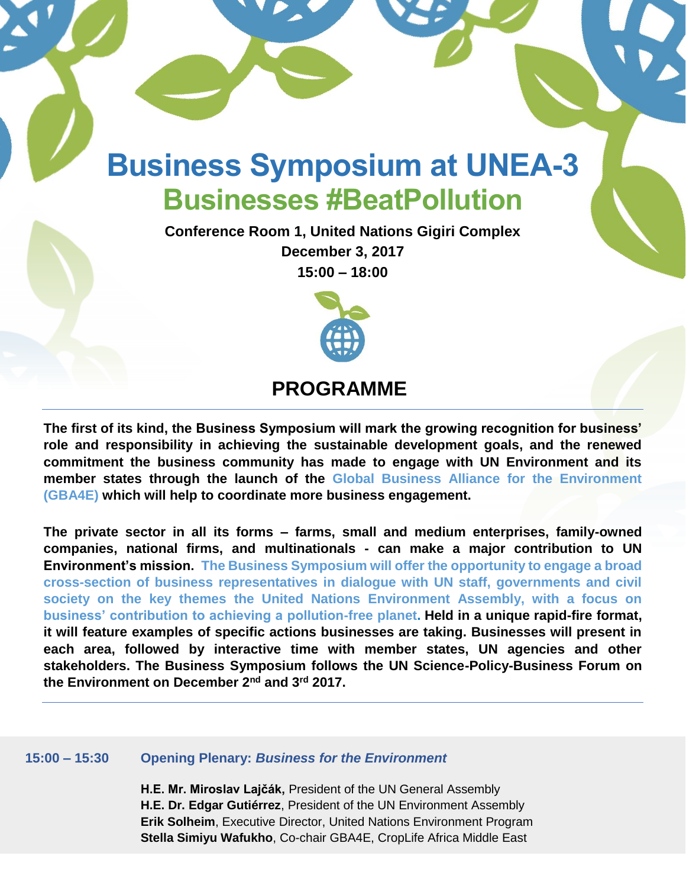

**Conference Room 1, United Nations Gigiri Complex December 3, 2017 15:00 – 18:00**



## **PROGRAMME**

**The first of its kind, the Business Symposium will mark the growing recognition for business' role and responsibility in achieving the sustainable development goals, and the renewed commitment the business community has made to engage with UN Environment and its member states through the launch of the Global Business Alliance for the Environment (GBA4E) which will help to coordinate more business engagement.**

**The private sector in all its forms – farms, small and medium enterprises, family-owned companies, national firms, and multinationals - can make a major contribution to UN Environment's mission. The Business Symposium will offer the opportunity to engage a broad cross-section of business representatives in dialogue with UN staff, governments and civil society on the key themes the United Nations Environment Assembly, with a focus on business' contribution to achieving a pollution-free planet. Held in a unique rapid-fire format, it will feature examples of specific actions businesses are taking. Businesses will present in each area, followed by interactive time with member states, UN agencies and other stakeholders. The Business Symposium follows the UN Science-Policy-Business Forum on the Environment on December 2nd and 3rd 2017.** 

## **15:00 – 15:30 Opening Plenary:** *Business for the Environment*

**H.E. Mr. Miroslav Lajčák,** President of the UN General Assembly **H.E. Dr. Edgar Gutiérrez**, President of the UN Environment Assembly **Erik Solheim**, Executive Director, United Nations Environment Program **Stella Simiyu Wafukho**, Co-chair GBA4E, CropLife Africa Middle East